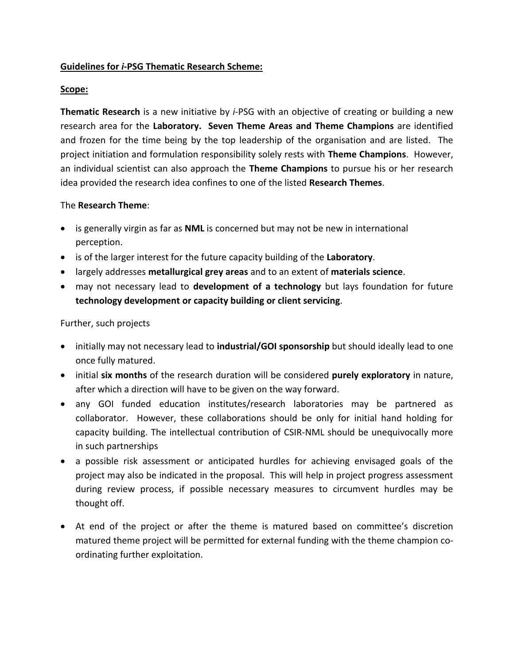## **Guidelines for** *i***-PSG Thematic Research Scheme:**

## **Scope:**

**Thematic Research** is a new initiative by *i*-PSG with an objective of creating or building a new research area for the **Laboratory. Seven Theme Areas and Theme Champions** are identified and frozen for the time being by the top leadership of the organisation and are listed. The project initiation and formulation responsibility solely rests with **Theme Champions**. However, an individual scientist can also approach the **Theme Champions** to pursue his or her research idea provided the research idea confines to one of the listed **Research Themes**.

## The **Research Theme**:

- is generally virgin as far as **NML** is concerned but may not be new in international perception.
- is of the larger interest for the future capacity building of the **Laboratory**.
- largely addresses **metallurgical grey areas** and to an extent of **materials science**.
- may not necessary lead to **development of a technology** but lays foundation for future **technology development or capacity building or client servicing**.

## Further, such projects

- initially may not necessary lead to **industrial/GOI sponsorship** but should ideally lead to one once fully matured.
- initial **six months** of the research duration will be considered **purely exploratory** in nature, after which a direction will have to be given on the way forward.
- any GOI funded education institutes/research laboratories may be partnered as collaborator. However, these collaborations should be only for initial hand holding for capacity building. The intellectual contribution of CSIR-NML should be unequivocally more in such partnerships
- a possible risk assessment or anticipated hurdles for achieving envisaged goals of the project may also be indicated in the proposal. This will help in project progress assessment during review process, if possible necessary measures to circumvent hurdles may be thought off.
- At end of the project or after the theme is matured based on committee's discretion matured theme project will be permitted for external funding with the theme champion coordinating further exploitation.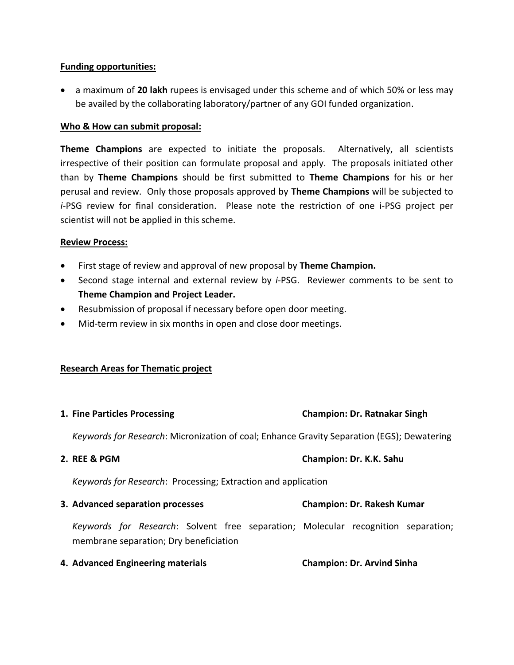## **Funding opportunities:**

 a maximum of **20 lakh** rupees is envisaged under this scheme and of which 50% or less may be availed by the collaborating laboratory/partner of any GOI funded organization.

## **Who & How can submit proposal:**

**Theme Champions** are expected to initiate the proposals. Alternatively, all scientists irrespective of their position can formulate proposal and apply. The proposals initiated other than by **Theme Champions** should be first submitted to **Theme Champions** for his or her perusal and review. Only those proposals approved by **Theme Champions** will be subjected to *i*-PSG review for final consideration. Please note the restriction of one i-PSG project per scientist will not be applied in this scheme.

#### **Review Process:**

- First stage of review and approval of new proposal by **Theme Champion.**
- Second stage internal and external review by *i*-PSG. Reviewer comments to be sent to **Theme Champion and Project Leader.**
- Resubmission of proposal if necessary before open door meeting.
- Mid-term review in six months in open and close door meetings.

# **Research Areas for Thematic project**

| 1. Fine Particles Processing                                                                                                | <b>Champion: Dr. Ratnakar Singh</b> |
|-----------------------------------------------------------------------------------------------------------------------------|-------------------------------------|
| Keywords for Research: Micronization of coal; Enhance Gravity Separation (EGS); Dewatering                                  |                                     |
| 2. REE & PGM                                                                                                                | Champion: Dr. K.K. Sahu             |
| Keywords for Research: Processing; Extraction and application                                                               |                                     |
| 3. Advanced separation processes                                                                                            | <b>Champion: Dr. Rakesh Kumar</b>   |
| Keywords for Research: Solvent free separation; Molecular recognition separation;<br>membrane separation; Dry beneficiation |                                     |
| 4. Advanced Engineering materials                                                                                           | <b>Champion: Dr. Arvind Sinha</b>   |